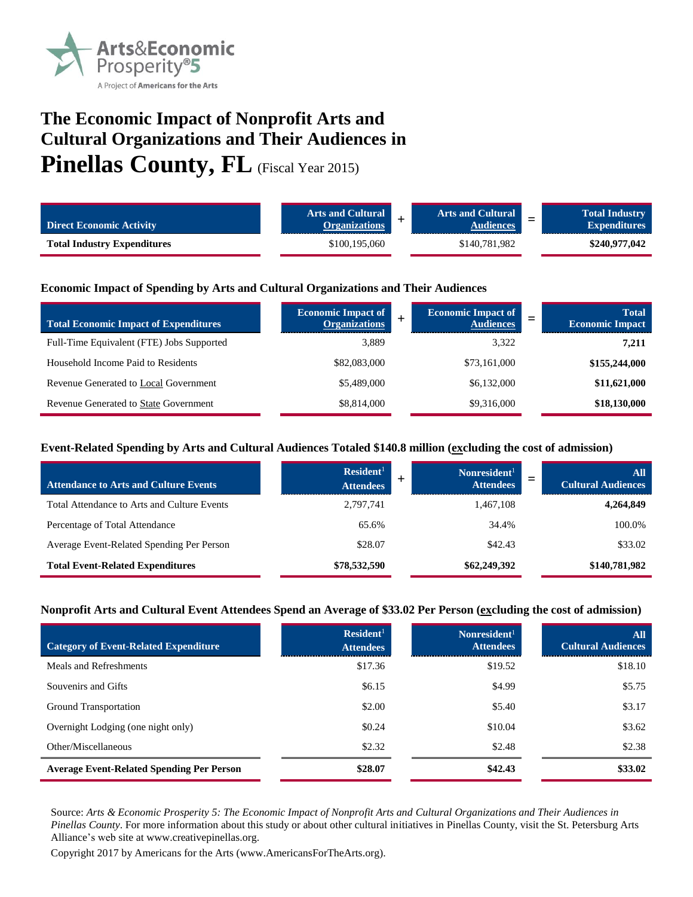

# **The Economic Impact of Nonprofit Arts and Cultural Organizations and Their Audiences in** Pinellas County, FL (Fiscal Year 2015)

| <b>Direct Economic Activity</b>    | <b>Arts and Cultural</b><br><b>Organizations</b> | <b>Arts and Cultural</b><br><b>Audiences</b> | <b>Total Industry</b><br><b>Expenditures</b> |
|------------------------------------|--------------------------------------------------|----------------------------------------------|----------------------------------------------|
| <b>Total Industry Expenditures</b> | \$100,195,060                                    | \$140,781,982                                | \$240,977,042                                |

### **Economic Impact of Spending by Arts and Cultural Organizations and Their Audiences**

| <b>Total Economic Impact of Expenditures</b> | <b>Economic Impact of</b><br><b>Organizations</b> | <b>Economic Impact of</b><br><b>Audiences</b> | <b>Total</b><br><b>Economic Impact</b> |
|----------------------------------------------|---------------------------------------------------|-----------------------------------------------|----------------------------------------|
| Full-Time Equivalent (FTE) Jobs Supported    | 3,889                                             | 3.322                                         | 7,211                                  |
| Household Income Paid to Residents           | \$82,083,000                                      | \$73,161,000                                  | \$155,244,000                          |
| Revenue Generated to Local Government        | \$5,489,000                                       | \$6,132,000                                   | \$11,621,000                           |
| <b>Revenue Generated to State Government</b> | \$8,814,000                                       | \$9,316,000                                   | \$18,130,000                           |

### **Event-Related Spending by Arts and Cultural Audiences Totaled \$140.8 million (excluding the cost of admission)**

| <b>Attendance to Arts and Culture Events</b> | Resident <sup>1</sup><br><b>Attendees</b> | Nonresident <sup>1</sup><br><b>Attendees</b> | $\mathbf{All}$<br><b>Cultural Audiences</b> |
|----------------------------------------------|-------------------------------------------|----------------------------------------------|---------------------------------------------|
| Total Attendance to Arts and Culture Events  | 2,797,741                                 | 1,467,108                                    | 4,264,849                                   |
| Percentage of Total Attendance               | 65.6%                                     | 34.4%                                        | 100.0%                                      |
| Average Event-Related Spending Per Person    | \$28.07                                   | \$42.43                                      | \$33.02                                     |
| <b>Total Event-Related Expenditures</b>      | \$78,532,590                              | \$62,249,392                                 | \$140,781,982                               |

#### **Nonprofit Arts and Cultural Event Attendees Spend an Average of \$33.02 Per Person (excluding the cost of admission)**

| <b>Category of Event-Related Expenditure</b>     | Resident <sup>1</sup><br><b>Attendees</b> | Nonresident <sup>1</sup><br><b>Attendees</b> | All<br><b>Cultural Audiences</b> |
|--------------------------------------------------|-------------------------------------------|----------------------------------------------|----------------------------------|
| Meals and Refreshments                           | \$17.36                                   | \$19.52                                      | \$18.10                          |
| Souvenirs and Gifts                              | \$6.15                                    | \$4.99                                       | \$5.75                           |
| Ground Transportation                            | \$2.00                                    | \$5.40                                       | \$3.17                           |
| Overnight Lodging (one night only)               | \$0.24                                    | \$10.04                                      | \$3.62                           |
| Other/Miscellaneous                              | \$2.32                                    | \$2.48                                       | \$2.38                           |
| <b>Average Event-Related Spending Per Person</b> | \$28.07                                   | \$42.43                                      | \$33.02                          |

Source: *Arts & Economic Prosperity 5: The Economic Impact of Nonprofit Arts and Cultural Organizations and Their Audiences in Pinellas County*. For more information about this study or about other cultural initiatives in Pinellas County, visit the St. Petersburg Arts Alliance's web site at www.creativepinellas.org.

Copyright 2017 by Americans for the Arts (www.AmericansForTheArts.org).